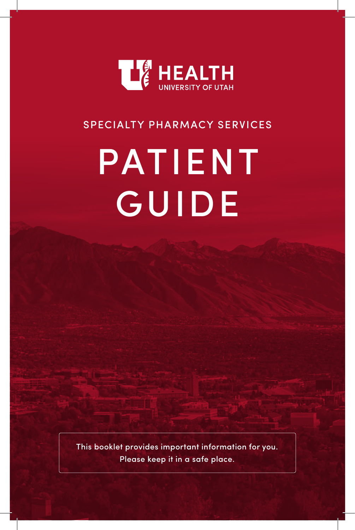

# SPECIALTY PHARMACY SERVICES

# PATIENT GUIDE

This booklet provides important information for you. Please keep it in a safe place.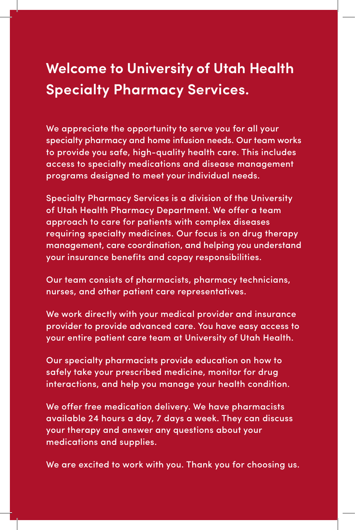# **Welcome to University of Utah Health Specialty Pharmacy Services.**

We appreciate the opportunity to serve you for all your specialty pharmacy and home infusion needs. Our team works to provide you safe, high-quality health care. This includes access to specialty medications and disease management programs designed to meet your individual needs.

Specialty Pharmacy Services is a division of the University of Utah Health Pharmacy Department. We offer a team approach to care for patients with complex diseases requiring specialty medicines. Our focus is on drug therapy management, care coordination, and helping you understand your insurance benefits and copay responsibilities.

Our team consists of pharmacists, pharmacy technicians, nurses, and other patient care representatives.

We work directly with your medical provider and insurance provider to provide advanced care. You have easy access to your entire patient care team at University of Utah Health.

Our specialty pharmacists provide education on how to safely take your prescribed medicine, monitor for drug interactions, and help you manage your health condition.

We offer free medication delivery. We have pharmacists available 24 hours a day, 7 days a week. They can discuss your therapy and answer any questions about your medications and supplies.

We are excited to work with you. Thank you for choosing us.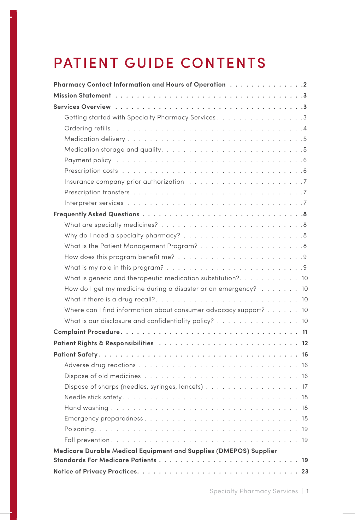# PATIENT GUIDE CONTENTS

| Pharmacy Contact Information and Hours of Operation 2             |
|-------------------------------------------------------------------|
|                                                                   |
|                                                                   |
| Getting started with Specialty Pharmacy Services. 3               |
|                                                                   |
|                                                                   |
|                                                                   |
|                                                                   |
|                                                                   |
|                                                                   |
|                                                                   |
|                                                                   |
|                                                                   |
|                                                                   |
|                                                                   |
|                                                                   |
|                                                                   |
|                                                                   |
| What is generic and therapeutic medication substitution?. 10      |
| How do I get my medicine during a disaster or an emergency? 10    |
|                                                                   |
| Where can I find information about consumer advocacy support? 10  |
| What is our disclosure and confidentiality policy? 10             |
|                                                                   |
|                                                                   |
|                                                                   |
|                                                                   |
|                                                                   |
| Dispose of sharps (needles, syringes, lancets) 17                 |
|                                                                   |
|                                                                   |
|                                                                   |
|                                                                   |
|                                                                   |
| Medicare Durable Medical Equipment and Supplies (DMEPOS) Supplier |
|                                                                   |
|                                                                   |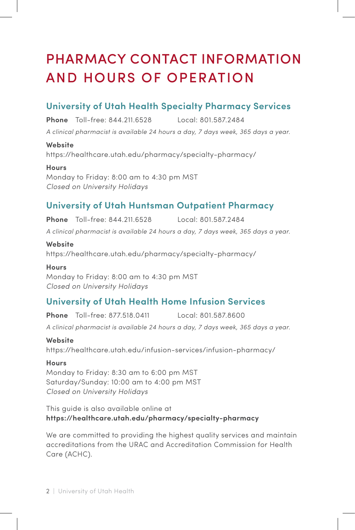# <span id="page-3-1"></span><span id="page-3-0"></span>PHARMACY CONTACT INFORMATION AND HOURS OF OPERATION

# **University of Utah Health Specialty Pharmacy Services**

**Phone** Toll-free: 844.211.6528 Local: 801.587.2484

*A clinical pharmacist is available 24 hours a day, 7 days week, 365 days a year.*

#### **Website**

https://healthcare.utah.edu/pharmacy/specialty-pharmacy/

#### **Hours**

Monday to Friday: 8:00 am to 4:30 pm MST *Closed on University Holidays*

# **University of Utah Huntsman Outpatient Pharmacy**

**Phone** Toll-free: 844.211.6528 Local: 801.587.2484

*A clinical pharmacist is available 24 hours a day, 7 days week, 365 days a year.*

#### **Website**

https://healthcare.utah.edu/pharmacy/specialty-pharmacy/

# **Hours**

Monday to Friday: 8:00 am to 4:30 pm MST *Closed on University Holidays*

### **University of Utah Health Home Infusion Services**

**Phone** Toll-free: 877.518.0411 Local: 801.587.8600

*A clinical pharmacist is available 24 hours a day, 7 days week, 365 days a year.*

#### **Website**

https://healthcare.utah.edu/infusion-services/infusion-pharmacy/

#### **Hours**

Monday to Friday: 8:30 am to 6:00 pm MST Saturday/Sunday: 10:00 am to 4:00 pm MST *Closed on University Holidays*

This guide is also available online at **https://healthcare.utah.edu/pharmacy/specialty-pharmacy**

We are committed to providing the highest quality services and maintain accreditations from the URAC and Accreditation Commission for Health Care (ACHC).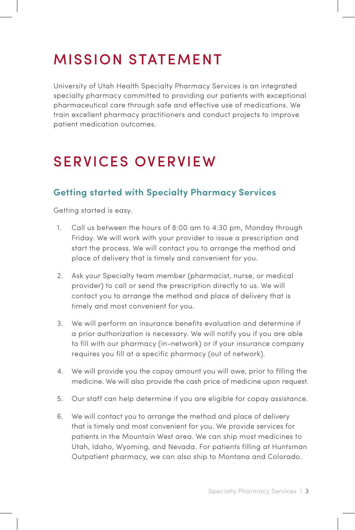# <span id="page-4-0"></span>MISSION STATEMENT

University of Utah Health Specialty Pharmacy Services is an integrated specialty pharmacy committed to providing our patients with exceptional pharmaceutical care through safe and effective use of medications. We train excellent pharmacy practitioners and conduct projects to improve patient medication outcomes.

# SERVICES OVERVIEW

### **Getting started with Specialty Pharmacy Services**

Getting started is easy.

- 1. Call us between the hours of 8:00 am to 4:30 pm, Monday through Friday. We will work with your provider to issue a prescription and start the process. We will contact you to arrange the method and place of delivery that is timely and convenient for you.
- 2. Ask your Specialty team member (pharmacist, nurse, or medical provider) to call or send the prescription directly to us. We will contact you to arrange the method and place of delivery that is timely and most convenient for you.
- 3. We will perform an insurance benefits evaluation and determine if a prior authorization is necessary. We will notify you if you are able to fill with our pharmacy (in-network) or if your insurance company requires you fill at a specific pharmacy (out of network).
- 4. We will provide you the copay amount you will owe, prior to filling the medicine. We will also provide the cash price of medicine upon request.
- 5. Our staff can help determine if you are eligible for copay assistance.
- 6. We will contact you to arrange the method and place of delivery that is timely and most convenient for you. We provide services for patients in the Mountain West area. We can ship most medicines to Utah, Idaho, Wyoming, and Nevada. For patients filling at Huntsman Outpatient pharmacy, we can also ship to Montana and Colorado.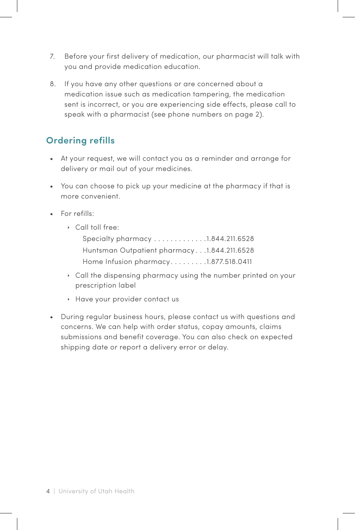- <span id="page-5-0"></span>7. Before your first delivery of medication, our pharmacist will talk with you and provide medication education.
- 8. If you have any other questions or are concerned about a medication issue such as medication tampering, the medication sent is incorrect, or you are experiencing side effects, please call to speak with a pharmacist (see phone numbers on page 2).

# **Ordering refills**

- At your request, we will contact you as a reminder and arrange for delivery or mail out of your medicines.
- You can choose to pick up your medicine at the pharmacy if that is more convenient.
- For refills:
	- **Call toll free:** 
		- Specialty pharmacy . . . . . . . . . . . . 1.844.211.6528 Huntsman Outpatient pharmacy . . 1.844.211.6528 Home Infusion pharmacy . . . . . . . . 1.877.518.0411
	- $\cdot$  Call the dispensing pharmacy using the number printed on your prescription label
	- Have your provider contact us
- During regular business hours, please contact us with questions and concerns. We can help with order status, copay amounts, claims submissions and benefit coverage. You can also check on expected shipping date or report a delivery error or delay.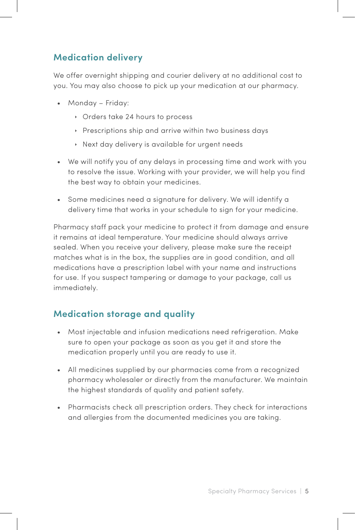# <span id="page-6-0"></span>**Medication delivery**

We offer overnight shipping and courier delivery at no additional cost to you. You may also choose to pick up your medication at our pharmacy.

- Monday Friday:
	- **C** Orders take 24 hours to process
	- $\cdot$  Prescriptions ship and arrive within two business days
	- $\rightarrow$  Next day delivery is available for urgent needs
- We will notify you of any delays in processing time and work with you to resolve the issue. Working with your provider, we will help you find the best way to obtain your medicines.
- Some medicines need a signature for delivery. We will identify a delivery time that works in your schedule to sign for your medicine.

Pharmacy staff pack your medicine to protect it from damage and ensure it remains at ideal temperature. Your medicine should always arrive sealed. When you receive your delivery, please make sure the receipt matches what is in the box, the supplies are in good condition, and all medications have a prescription label with your name and instructions for use. If you suspect tampering or damage to your package, call us immediately.

# **Medication storage and quality**

- Most injectable and infusion medications need refrigeration. Make sure to open your package as soon as you get it and store the medication properly until you are ready to use it.
- All medicines supplied by our pharmacies come from a recognized pharmacy wholesaler or directly from the manufacturer. We maintain the highest standards of quality and patient safety.
- Pharmacists check all prescription orders. They check for interactions and allergies from the documented medicines you are taking.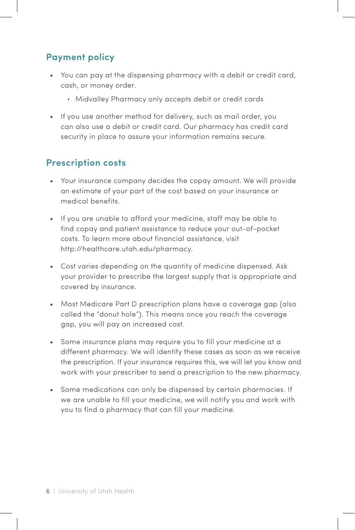# <span id="page-7-0"></span>**Payment policy**

- You can pay at the dispensing pharmacy with a debit or credit card, cash, or money order.
	- **Midvalley Pharmacy only accepts debit or credit cards**
- If you use another method for delivery, such as mail order, you can also use a debit or credit card. Our pharmacy has credit card security in place to assure your information remains secure.

### **Prescription costs**

- Your insurance company decides the copay amount. We will provide an estimate of your part of the cost based on your insurance or medical benefits.
- If you are unable to afford your medicine, staff may be able to find copay and patient assistance to reduce your out-of-pocket costs. To learn more about financial assistance, visit http://healthcare.utah.edu/pharmacy.
- Cost varies depending on the quantity of medicine dispensed. Ask your provider to prescribe the largest supply that is appropriate and covered by insurance.
- Most Medicare Part D prescription plans have a coverage gap (also called the "donut hole"). This means once you reach the coverage gap, you will pay an increased cost.
- Some insurance plans may require you to fill your medicine at a different pharmacy. We will identify these cases as soon as we receive the prescription. If your insurance requires this, we will let you know and work with your prescriber to send a prescription to the new pharmacy.
- Some medications can only be dispensed by certain pharmacies. If we are unable to fill your medicine, we will notify you and work with you to find a pharmacy that can fill your medicine.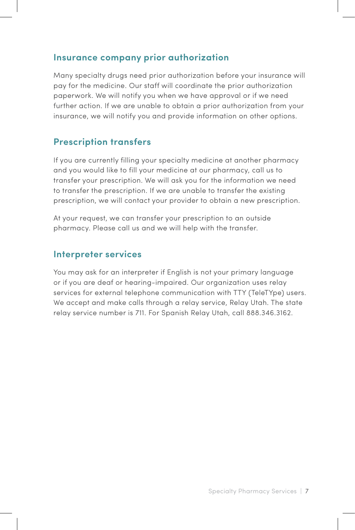#### <span id="page-8-0"></span>**Insurance company prior authorization**

Many specialty drugs need prior authorization before your insurance will pay for the medicine. Our staff will coordinate the prior authorization paperwork. We will notify you when we have approval or if we need further action. If we are unable to obtain a prior authorization from your insurance, we will notify you and provide information on other options.

#### **Prescription transfers**

If you are currently filling your specialty medicine at another pharmacy and you would like to fill your medicine at our pharmacy, call us to transfer your prescription. We will ask you for the information we need to transfer the prescription. If we are unable to transfer the existing prescription, we will contact your provider to obtain a new prescription.

At your request, we can transfer your prescription to an outside pharmacy. Please call us and we will help with the transfer.

#### **Interpreter services**

You may ask for an interpreter if English is not your primary language or if you are deaf or hearing-impaired. Our organization uses relay services for external telephone communication with TTY (TeleTYpe) users. We accept and make calls through a relay service, Relay Utah. The state relay service number is 711. For Spanish Relay Utah, call 888.346.3162.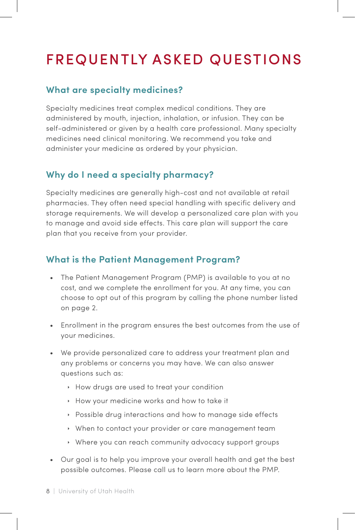# <span id="page-9-0"></span>FREQUENTLY ASKED QUESTIONS

## **What are specialty medicines?**

Specialty medicines treat complex medical conditions. They are administered by mouth, injection, inhalation, or infusion. They can be self-administered or given by a health care professional. Many specialty medicines need clinical monitoring. We recommend you take and administer your medicine as ordered by your physician.

# **Why do I need a specialty pharmacy?**

Specialty medicines are generally high-cost and not available at retail pharmacies. They often need special handling with specific delivery and storage requirements. We will develop a personalized care plan with you to manage and avoid side effects. This care plan will support the care plan that you receive from your provider.

# **What is the Patient Management Program?**

- The Patient Management Program (PMP) is available to you at no cost, and we complete the enrollment for you. At any time, you can choose to opt out of this program by calling the phone number listed on [page 2](#page-3-1).
- Enrollment in the program ensures the best outcomes from the use of your medicines.
- We provide personalized care to address your treatment plan and any problems or concerns you may have. We can also answer questions such as:
	- **How drugs are used to treat your condition**
	- **How your medicine works and how to take it**
	- **Possible drug interactions and how to manage side effects**
	- $\rightarrow$  When to contact your provider or care management team
	- $\cdot$  Where you can reach community advocacy support groups
- Our goal is to help you improve your overall health and get the best possible outcomes. Please call us to learn more about the PMP.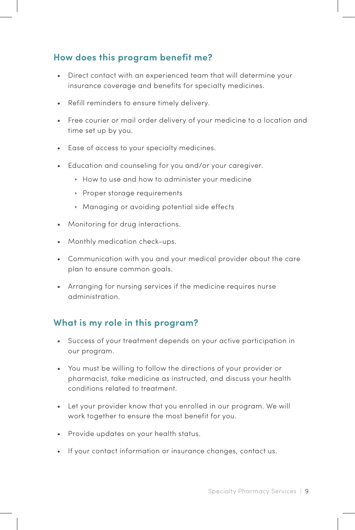# <span id="page-10-0"></span>**How does this program benefit me?**

- Direct contact with an experienced team that will determine your insurance coverage and benefits for specialty medicines.
- Refill reminders to ensure timely delivery.
- Free courier or mail order delivery of your medicine to a location and time set up by you.
- Ease of access to your specialty medicines.
- Education and counseling for you and/or your caregiver.
	- $\rightarrow$  How to use and how to administer your medicine
	- **Proper storage requirements**
	- **Managing or avoiding potential side effects**
- Monitoring for drug interactions.
- Monthly medication check-ups.
- Communication with you and your medical provider about the care plan to ensure common goals.
- Arranging for nursing services if the medicine requires nurse administration.

#### **What is my role in this program?**

- Success of your treatment depends on your active participation in our program.
- You must be willing to follow the directions of your provider or pharmacist, take medicine as instructed, and discuss your health conditions related to treatment.
- Let your provider know that you enrolled in our program. We will work together to ensure the most benefit for you.
- Provide updates on your health status.
- If your contact information or insurance changes, contact us.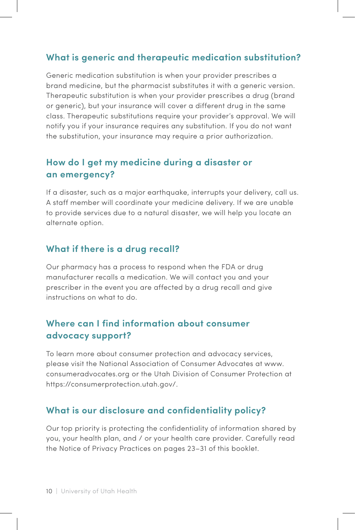# <span id="page-11-0"></span>**What is generic and therapeutic medication substitution?**

Generic medication substitution is when your provider prescribes a brand medicine, but the pharmacist substitutes it with a generic version. Therapeutic substitution is when your provider prescribes a drug (brand or generic), but your insurance will cover a different drug in the same class. Therapeutic substitutions require your provider's approval. We will notify you if your insurance requires any substitution. If you do not want the substitution, your insurance may require a prior authorization.

### **How do I get my medicine during a disaster or an emergency?**

If a disaster, such as a major earthquake, interrupts your delivery, call us. A staff member will coordinate your medicine delivery. If we are unable to provide services due to a natural disaster, we will help you locate an alternate option.

#### **What if there is a drug recall?**

Our pharmacy has a process to respond when the FDA or drug manufacturer recalls a medication. We will contact you and your prescriber in the event you are affected by a drug recall and give instructions on what to do.

### **Where can I find information about consumer advocacy support?**

To learn more about consumer protection and advocacy services, please visit the National Association of Consumer Advocates at www. consumeradvocates.org or the Utah Division of Consumer Protection at https://consumerprotection.utah.gov/.

#### **What is our disclosure and confidentiality policy?**

Our top priority is protecting the confidentiality of information shared by you, your health plan, and / or your health care provider. Carefully read the Notice of Privacy Practices on pages 23–31 of this booklet.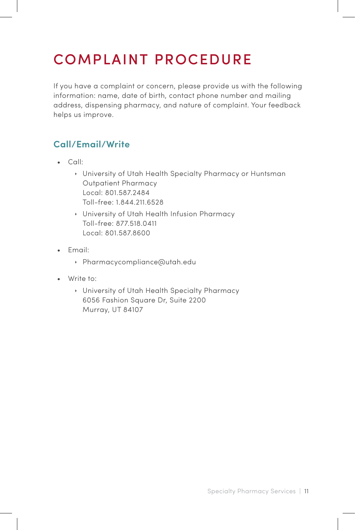# <span id="page-12-0"></span>COMPLAINT PROCEDURE

If you have a complaint or concern, please provide us with the following information: name, date of birth, contact phone number and mailing address, dispensing pharmacy, and nature of complaint. Your feedback helps us improve.

# **Call/Email/Write**

- Call:
	- **Indiversity of Utah Health Specialty Pharmacy or Huntsman** Outpatient Pharmacy Local: 801.587.2484 Toll-free: 1.844.211.6528
	- **Inducate Utah Health Infusion Pharmacy** Toll-free: 877.518.0411 Local: 801.587.8600
- Email:
	- Ì Pharmacycompliance@utah.edu
- Write to:
	- **Iniversity of Utah Health Specialty Pharmacy** 6056 Fashion Square Dr, Suite 2200 Murray, UT 84107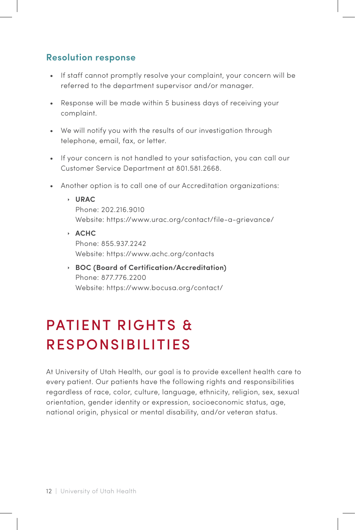### <span id="page-13-0"></span>**Resolution response**

- If staff cannot promptly resolve your complaint, your concern will be referred to the department supervisor and/or manager.
- Response will be made within 5 business days of receiving your complaint.
- We will notify you with the results of our investigation through telephone, email, fax, or letter.
- If your concern is not handled to your satisfaction, you can call our Customer Service Department at 801.581.2668.
- Another option is to call one of our Accreditation organizations:
	- Ì **URAC** Phone: 202.216.9010 Website: https://www.urac.org/contact/file-a-grievance/
	- Ì **ACHC** Phone: 855.937.2242 Website: https://www.achc.org/contacts
	- **BOC (Board of Certification/Accreditation)** Phone: 877.776.2200 Website: https://www.bocusa.org/contact/

# PATIENT RIGHTS & RESPONSIBILITIES

At University of Utah Health, our goal is to provide excellent health care to every patient. Our patients have the following rights and responsibilities regardless of race, color, culture, language, ethnicity, religion, sex, sexual orientation, gender identity or expression, socioeconomic status, age, national origin, physical or mental disability, and/or veteran status.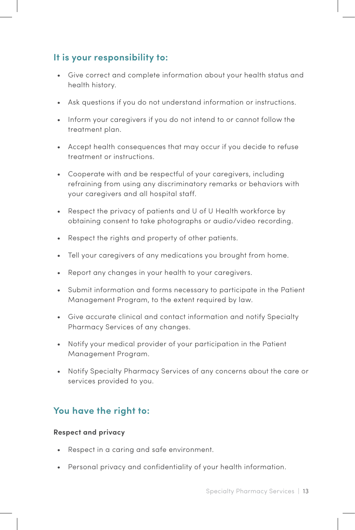## **It is your responsibility to:**

- Give correct and complete information about your health status and health history.
- Ask questions if you do not understand information or instructions.
- Inform your caregivers if you do not intend to or cannot follow the treatment plan.
- Accept health consequences that may occur if you decide to refuse treatment or instructions.
- Cooperate with and be respectful of your caregivers, including refraining from using any discriminatory remarks or behaviors with your caregivers and all hospital staff.
- Respect the privacy of patients and U of U Health workforce by obtaining consent to take photographs or audio/video recording.
- Respect the rights and property of other patients.
- Tell your caregivers of any medications you brought from home.
- Report any changes in your health to your caregivers.
- Submit information and forms necessary to participate in the Patient Management Program, to the extent required by law.
- Give accurate clinical and contact information and notify Specialty Pharmacy Services of any changes.
- Notify your medical provider of your participation in the Patient Management Program.
- Notify Specialty Pharmacy Services of any concerns about the care or services provided to you.

#### **You have the right to:**

#### **Respect and privacy**

- Respect in a caring and safe environment.
- Personal privacy and confidentiality of your health information.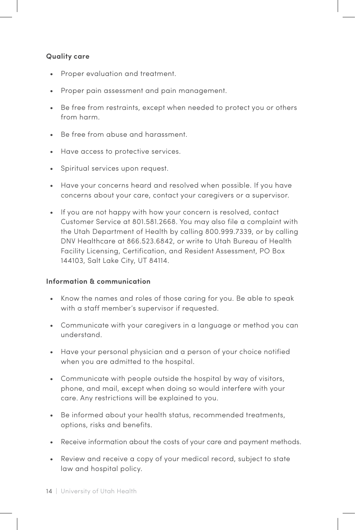#### **Quality care**

- Proper evaluation and treatment.
- Proper pain assessment and pain management.
- Be free from restraints, except when needed to protect you or others from harm.
- Be free from abuse and harassment.
- Have access to protective services.
- Spiritual services upon request.
- Have your concerns heard and resolved when possible. If you have concerns about your care, contact your caregivers or a supervisor.
- If you are not happy with how your concern is resolved, contact Customer Service at 801.581.2668. You may also file a complaint with the Utah Department of Health by calling 800.999.7339, or by calling DNV Healthcare at 866.523.6842, or write to Utah Bureau of Health Facility Licensing, Certification, and Resident Assessment, PO Box 144103, Salt Lake City, UT 84114.

#### **Information & communication**

- Know the names and roles of those caring for you. Be able to speak with a staff member's supervisor if requested.
- Communicate with your caregivers in a language or method you can understand.
- Have your personal physician and a person of your choice notified when you are admitted to the hospital.
- Communicate with people outside the hospital by way of visitors, phone, and mail, except when doing so would interfere with your care. Any restrictions will be explained to you.
- Be informed about your health status, recommended treatments, options, risks and benefits.
- Receive information about the costs of your care and payment methods.
- Review and receive a copy of your medical record, subject to state law and hospital policy.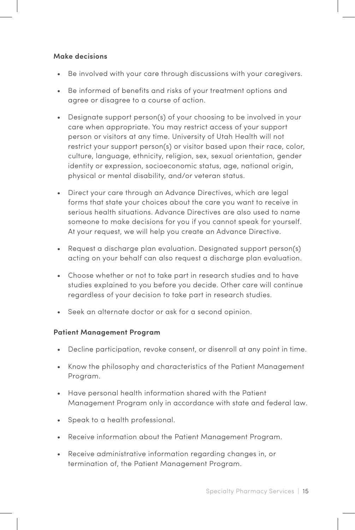#### **Make decisions**

- Be involved with your care through discussions with your caregivers.
- Be informed of benefits and risks of your treatment options and agree or disagree to a course of action.
- Designate support person(s) of your choosing to be involved in your care when appropriate. You may restrict access of your support person or visitors at any time. University of Utah Health will not restrict your support person(s) or visitor based upon their race, color, culture, language, ethnicity, religion, sex, sexual orientation, gender identity or expression, socioeconomic status, age, national origin, physical or mental disability, and/or veteran status.
- Direct your care through an Advance Directives, which are legal forms that state your choices about the care you want to receive in serious health situations. Advance Directives are also used to name someone to make decisions for you if you cannot speak for yourself. At your request, we will help you create an Advance Directive.
- Request a discharge plan evaluation. Designated support person(s) acting on your behalf can also request a discharge plan evaluation.
- Choose whether or not to take part in research studies and to have studies explained to you before you decide. Other care will continue regardless of your decision to take part in research studies.
- Seek an alternate doctor or ask for a second opinion.

#### **Patient Management Program**

- Decline participation, revoke consent, or disenroll at any point in time.
- Know the philosophy and characteristics of the Patient Management Program.
- Have personal health information shared with the Patient Management Program only in accordance with state and federal law.
- Speak to a health professional.
- Receive information about the Patient Management Program.
- Receive administrative information regarding changes in, or termination of, the Patient Management Program.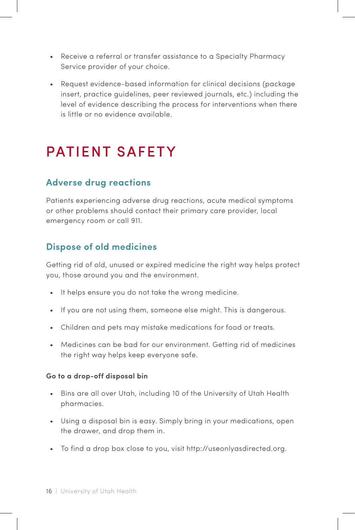- <span id="page-17-0"></span>• Receive a referral or transfer assistance to a Specialty Pharmacy Service provider of your choice.
- Request evidence-based information for clinical decisions (package insert, practice guidelines, peer reviewed journals, etc.) including the level of evidence describing the process for interventions when there is little or no evidence available.

# PATIENT SAFETY

### **Adverse drug reactions**

Patients experiencing adverse drug reactions, acute medical symptoms or other problems should contact their primary care provider, local emergency room or call 911.

### **Dispose of old medicines**

Getting rid of old, unused or expired medicine the right way helps protect you, those around you and the environment.

- It helps ensure you do not take the wrong medicine.
- If you are not using them, someone else might. This is dangerous.
- Children and pets may mistake medications for food or treats.
- Medicines can be bad for our environment. Getting rid of medicines the right way helps keep everyone safe.

#### **Go to a drop-off disposal bin**

- Bins are all over Utah, including 10 of the University of Utah Health pharmacies.
- Using a disposal bin is easy. Simply bring in your medications, open the drawer, and drop them in.
- To find a drop box close to you, visit http://useonlyasdirected.org.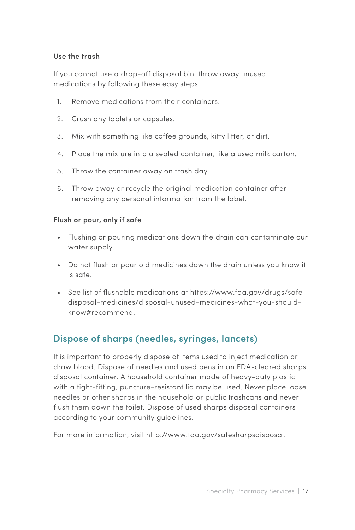#### <span id="page-18-0"></span>**Use the trash**

If you cannot use a drop-off disposal bin, throw away unused medications by following these easy steps:

- 1. Remove medications from their containers.
- 2. Crush any tablets or capsules.
- 3. Mix with something like coffee grounds, kitty litter, or dirt.
- 4. Place the mixture into a sealed container, like a used milk carton.
- 5. Throw the container away on trash day.
- 6. Throw away or recycle the original medication container after removing any personal information from the label.

#### **Flush or pour, only if safe**

- Flushing or pouring medications down the drain can contaminate our water supply.
- Do not flush or pour old medicines down the drain unless you know it is safe.
- See list of flushable medications at https://www.fda.gov/drugs/safedisposal-medicines/disposal-unused-medicines-what-you-shouldknow#recommend.

### **Dispose of sharps (needles, syringes, lancets)**

It is important to properly dispose of items used to inject medication or draw blood. Dispose of needles and used pens in an FDA-cleared sharps disposal container. A household container made of heavy-duty plastic with a tight-fitting, puncture-resistant lid may be used. Never place loose needles or other sharps in the household or public trashcans and never flush them down the toilet. Dispose of used sharps disposal containers according to your community guidelines.

For more information, visit http://www.fda.gov/safesharpsdisposal.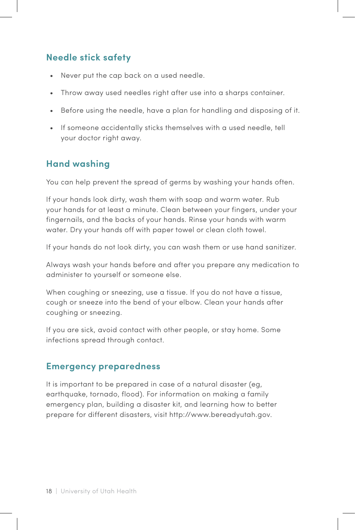# <span id="page-19-0"></span>**Needle stick safety**

- Never put the cap back on a used needle.
- Throw away used needles right after use into a sharps container.
- Before using the needle, have a plan for handling and disposing of it.
- If someone accidentally sticks themselves with a used needle, tell your doctor right away.

### **Hand washing**

You can help prevent the spread of germs by washing your hands often.

If your hands look dirty, wash them with soap and warm water. Rub your hands for at least a minute. Clean between your fingers, under your fingernails, and the backs of your hands. Rinse your hands with warm water. Dry your hands off with paper towel or clean cloth towel.

If your hands do not look dirty, you can wash them or use hand sanitizer.

Always wash your hands before and after you prepare any medication to administer to yourself or someone else.

When coughing or sneezing, use a tissue. If you do not have a tissue, cough or sneeze into the bend of your elbow. Clean your hands after coughing or sneezing.

If you are sick, avoid contact with other people, or stay home. Some infections spread through contact.

#### **Emergency preparedness**

It is important to be prepared in case of a natural disaster (eg, earthquake, tornado, flood). For information on making a family emergency plan, building a disaster kit, and learning how to better prepare for different disasters, visit http://www.bereadyutah.gov.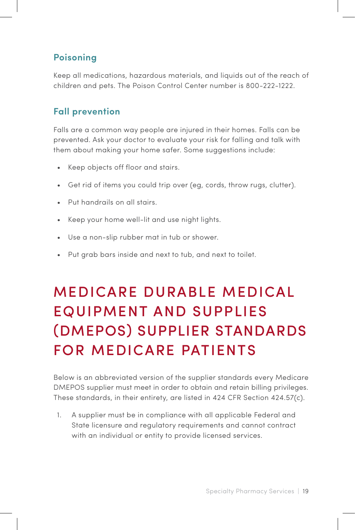# <span id="page-20-0"></span>**Poisoning**

Keep all medications, hazardous materials, and liquids out of the reach of children and pets. The Poison Control Center number is 800-222-1222.

### **Fall prevention**

Falls are a common way people are injured in their homes. Falls can be prevented. Ask your doctor to evaluate your risk for falling and talk with them about making your home safer. Some suggestions include:

- Keep objects off floor and stairs.
- Get rid of items you could trip over (eg, cords, throw rugs, clutter).
- Put handrails on all stairs.
- Keep your home well-lit and use night lights.
- Use a non-slip rubber mat in tub or shower.
- Put grab bars inside and next to tub, and next to toilet.

# MEDICARE DURABLE MEDICAL EQUIPMENT AND SUPPLIES (DMEPOS) SUPPLIER STANDARDS FOR MEDICARE PATIENTS

Below is an abbreviated version of the supplier standards every Medicare DMEPOS supplier must meet in order to obtain and retain billing privileges. These standards, in their entirety, are listed in 424 CFR Section 424.57(c).

1. A supplier must be in compliance with all applicable Federal and State licensure and regulatory requirements and cannot contract with an individual or entity to provide licensed services.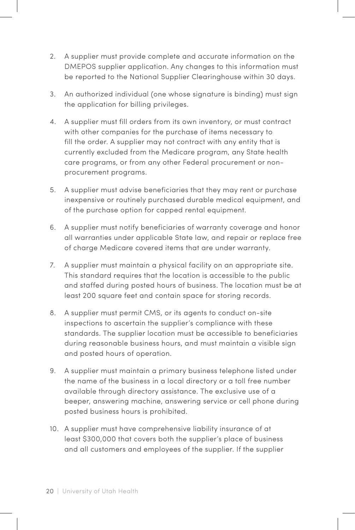- 2. A supplier must provide complete and accurate information on the DMEPOS supplier application. Any changes to this information must be reported to the National Supplier Clearinghouse within 30 days.
- 3. An authorized individual (one whose signature is binding) must sign the application for billing privileges.
- 4. A supplier must fill orders from its own inventory, or must contract with other companies for the purchase of items necessary to fill the order. A supplier may not contract with any entity that is currently excluded from the Medicare program, any State health care programs, or from any other Federal procurement or nonprocurement programs.
- 5. A supplier must advise beneficiaries that they may rent or purchase inexpensive or routinely purchased durable medical equipment, and of the purchase option for capped rental equipment.
- 6. A supplier must notify beneficiaries of warranty coverage and honor all warranties under applicable State law, and repair or replace free of charge Medicare covered items that are under warranty.
- 7. A supplier must maintain a physical facility on an appropriate site. This standard requires that the location is accessible to the public and staffed during posted hours of business. The location must be at least 200 square feet and contain space for storing records.
- 8. A supplier must permit CMS, or its agents to conduct on-site inspections to ascertain the supplier's compliance with these standards. The supplier location must be accessible to beneficiaries during reasonable business hours, and must maintain a visible sign and posted hours of operation.
- 9. A supplier must maintain a primary business telephone listed under the name of the business in a local directory or a toll free number available through directory assistance. The exclusive use of a beeper, answering machine, answering service or cell phone during posted business hours is prohibited.
- 10. A supplier must have comprehensive liability insurance of at least \$300,000 that covers both the supplier's place of business and all customers and employees of the supplier. If the supplier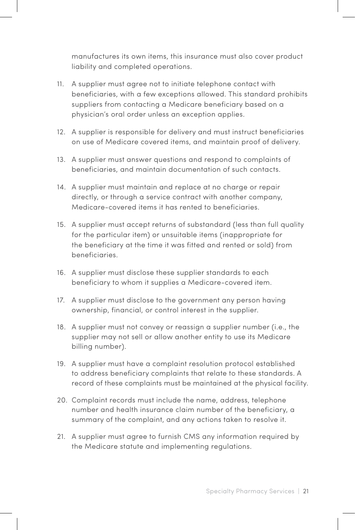manufactures its own items, this insurance must also cover product liability and completed operations.

- 11. A supplier must agree not to initiate telephone contact with beneficiaries, with a few exceptions allowed. This standard prohibits suppliers from contacting a Medicare beneficiary based on a physician's oral order unless an exception applies.
- 12. A supplier is responsible for delivery and must instruct beneficiaries on use of Medicare covered items, and maintain proof of delivery.
- 13. A supplier must answer questions and respond to complaints of beneficiaries, and maintain documentation of such contacts.
- 14. A supplier must maintain and replace at no charge or repair directly, or through a service contract with another company, Medicare-covered items it has rented to beneficiaries.
- 15. A supplier must accept returns of substandard (less than full quality for the particular item) or unsuitable items (inappropriate for the beneficiary at the time it was fitted and rented or sold) from beneficiaries.
- 16. A supplier must disclose these supplier standards to each beneficiary to whom it supplies a Medicare-covered item.
- 17. A supplier must disclose to the government any person having ownership, financial, or control interest in the supplier.
- 18. A supplier must not convey or reassign a supplier number (i.e., the supplier may not sell or allow another entity to use its Medicare billing number).
- 19. A supplier must have a complaint resolution protocol established to address beneficiary complaints that relate to these standards. A record of these complaints must be maintained at the physical facility.
- 20. Complaint records must include the name, address, telephone number and health insurance claim number of the beneficiary, a summary of the complaint, and any actions taken to resolve it.
- 21. A supplier must agree to furnish CMS any information required by the Medicare statute and implementing regulations.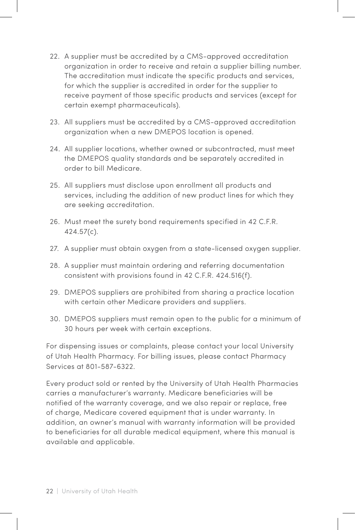- 22. A supplier must be accredited by a CMS-approved accreditation organization in order to receive and retain a supplier billing number. The accreditation must indicate the specific products and services, for which the supplier is accredited in order for the supplier to receive payment of those specific products and services (except for certain exempt pharmaceuticals).
- 23. All suppliers must be accredited by a CMS-approved accreditation organization when a new DMEPOS location is opened.
- 24. All supplier locations, whether owned or subcontracted, must meet the DMEPOS quality standards and be separately accredited in order to bill Medicare.
- 25. All suppliers must disclose upon enrollment all products and services, including the addition of new product lines for which they are seeking accreditation.
- 26. Must meet the surety bond requirements specified in 42 C.F.R. 424.57(c).
- 27. A supplier must obtain oxygen from a state-licensed oxygen supplier.
- 28. A supplier must maintain ordering and referring documentation consistent with provisions found in 42 C.F.R. 424.516(f).
- 29. DMEPOS suppliers are prohibited from sharing a practice location with certain other Medicare providers and suppliers.
- 30. DMEPOS suppliers must remain open to the public for a minimum of 30 hours per week with certain exceptions.

For dispensing issues or complaints, please contact your local University of Utah Health Pharmacy. For billing issues, please contact Pharmacy Services at 801-587-6322.

Every product sold or rented by the University of Utah Health Pharmacies carries a manufacturer's warranty. Medicare beneficiaries will be notified of the warranty coverage, and we also repair or replace, free of charge, Medicare covered equipment that is under warranty. In addition, an owner's manual with warranty information will be provided to beneficiaries for all durable medical equipment, where this manual is available and applicable.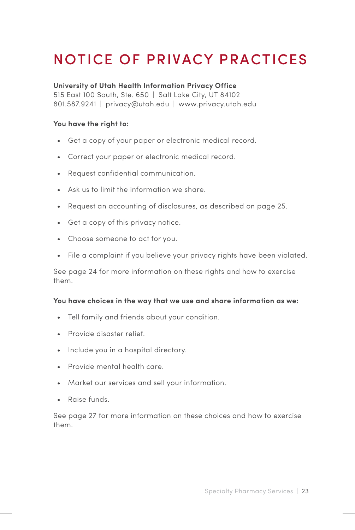# <span id="page-24-0"></span>NOTICE OF PRIVACY PRACTICES

#### **University of Utah Health Information Privacy Office**

515 East 100 South, Ste. 650 | Salt Lake City, UT 84102 801.587.9241 | privacy@utah.edu | www.privacy.utah.edu

#### **You have the right to:**

- Get a copy of your paper or electronic medical record.
- Correct your paper or electronic medical record.
- Request confidential communication.
- Ask us to limit the information we share.
- Request an accounting of disclosures, as described on page 25.
- Get a copy of this privacy notice.
- Choose someone to act for you.
- File a complaint if you believe your privacy rights have been violated.

See page 24 for more information on these rights and how to exercise them.

#### **You have choices in the way that we use and share information as we:**

- Tell family and friends about your condition.
- Provide disaster relief.
- Include you in a hospital directory.
- Provide mental health care.
- Market our services and sell your information.
- Raise funds.

See page 27 for more information on these choices and how to exercise them.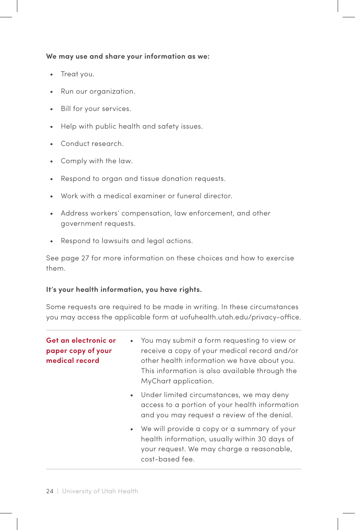#### **We may use and share your information as we:**

- Treat you.
- Run our organization.
- Bill for your services.
- Help with public health and safety issues.
- Conduct research.
- Comply with the law.
- Respond to organ and tissue donation requests.
- Work with a medical examiner or funeral director.
- Address workers' compensation, law enforcement, and other government requests.
- Respond to lawsuits and legal actions.

See page 27 for more information on these choices and how to exercise them.

#### **It's your health information, you have rights.**

Some requests are required to be made in writing. In these circumstances you may access the applicable form at uofuhealth.utah.edu/privacy-office.

#### **Get an electronic or paper copy of your medical record** • You may submit a form requesting to view or receive a copy of your medical record and/or other health information we have about you. This information is also available through the MyChart application. • Under limited circumstances, we may deny access to a portion of your health information and you may request a review of the denial. • We will provide a copy or a summary of your health information, usually within 30 days of your request. We may charge a reasonable, cost-based fee.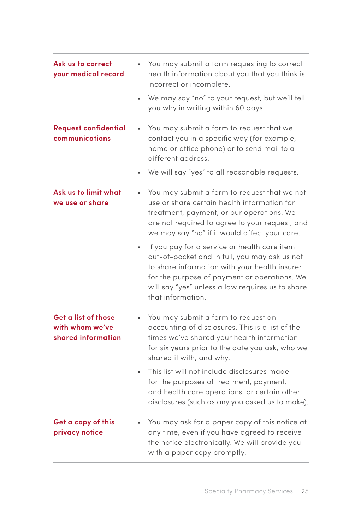| Ask us to correct<br>your medical record                     | You may submit a form requesting to correct<br>health information about you that you think is<br>incorrect or incomplete.                                                                                                                                               |
|--------------------------------------------------------------|-------------------------------------------------------------------------------------------------------------------------------------------------------------------------------------------------------------------------------------------------------------------------|
|                                                              | We may say "no" to your request, but we'll tell<br>you why in writing within 60 days.                                                                                                                                                                                   |
| <b>Request confidential</b><br>communications                | You may submit a form to request that we<br>contact you in a specific way (for example,<br>home or office phone) or to send mail to a<br>different address.<br>We will say "yes" to all reasonable requests.                                                            |
| Ask us to limit what<br>we use or share                      | You may submit a form to request that we not<br>use or share certain health information for<br>treatment, payment, or our operations. We<br>are not required to agree to your request, and<br>we may say "no" if it would affect your care.                             |
|                                                              | If you pay for a service or health care item<br>out-of-pocket and in full, you may ask us not<br>to share information with your health insurer<br>for the purpose of payment or operations. We<br>will say "yes" unless a law requires us to share<br>that information. |
| Get a list of those<br>with whom we've<br>shared information | You may submit a form to request an<br>accounting of disclosures. This is a list of the<br>times we've shared your health information<br>for six years prior to the date you ask, who we<br>shared it with, and why.                                                    |
|                                                              | This list will not include disclosures made<br>for the purposes of treatment, payment,<br>and health care operations, or certain other<br>disclosures (such as any you asked us to make).                                                                               |
| Get a copy of this<br>privacy notice                         | You may ask for a paper copy of this notice at<br>any time, even if you have agreed to receive<br>the notice electronically. We will provide you<br>with a paper copy promptly.                                                                                         |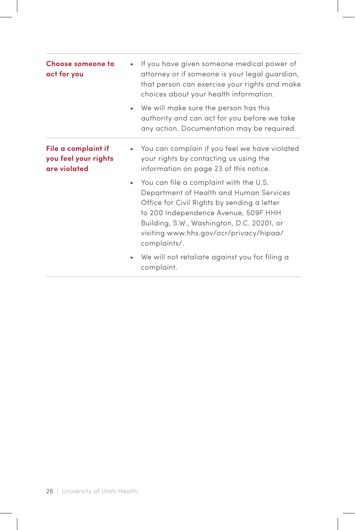| Choose someone to<br>act for you                            | If you have given someone medical power of<br>attorney or if someone is your legal guardian,<br>that person can exercise your rights and make<br>choices about your health information.                                                                                             |  |
|-------------------------------------------------------------|-------------------------------------------------------------------------------------------------------------------------------------------------------------------------------------------------------------------------------------------------------------------------------------|--|
|                                                             | • We will make sure the person has this<br>authority and can act for you before we take<br>any action. Documentation may be required.                                                                                                                                               |  |
| File a complaint if<br>you feel your rights<br>are violated | • You can complain if you feel we have violated<br>your rights by contacting us using the<br>information on page 23 of this notice.                                                                                                                                                 |  |
|                                                             | • You can file a complaint with the U.S.<br>Department of Health and Human Services<br>Office for Civil Rights by sending a letter<br>to 200 Independence Avenue, 509F HHH<br>Building, S.W., Washington, D.C. 20201, or<br>visiting www.hhs.gov/ocr/privacy/hipaa/<br>complaints/. |  |
|                                                             | We will not retaliate against you for filing a<br>complaint.                                                                                                                                                                                                                        |  |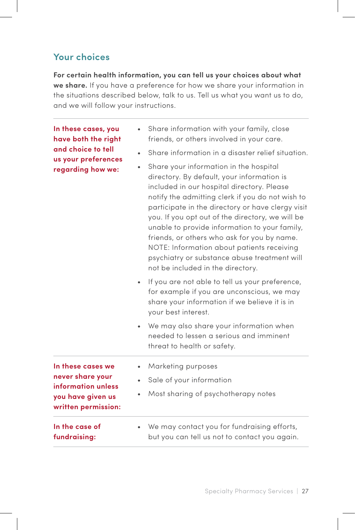### **Your choices**

**For certain health information, you can tell us your choices about what we share.** If you have a preference for how we share your information in the situations described below, talk to us. Tell us what you want us to do, and we will follow your instructions.

**In these cases, you have both the right and choice to tell us your preferences regarding how we:**

- Share information with your family, close friends, or others involved in your care.
- Share information in a disaster relief situation.
- Share your information in the hospital directory. By default, your information is included in our hospital directory. Please notify the admitting clerk if you do not wish to participate in the directory or have clergy visit you. If you opt out of the directory, we will be unable to provide information to your family, friends, or others who ask for you by name. NOTE: Information about patients receiving psychiatry or substance abuse treatment will not be included in the directory.
- If you are not able to tell us your preference, for example if you are unconscious, we may share your information if we believe it is in your best interest.
- We may also share your information when needed to lessen a serious and imminent threat to health or safety.

**In these cases we never share your information unless you have given us written permission: In the case of** 

**fundraising:**

• Most sharing of psychotherapy notes

We may contact you for fundraising efforts, but you can tell us not to contact you again.

• Marketing purposes

• Sale of your information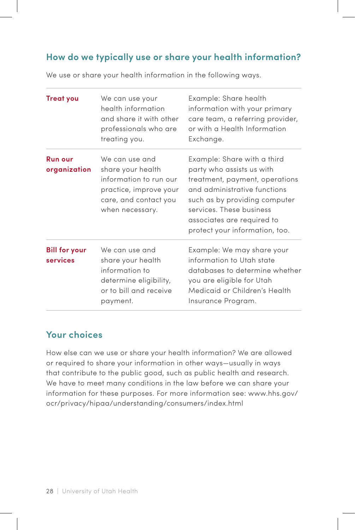### **How do we typically use or share your health information?**

We use or share your health information in the following ways.

| <b>Treat you</b>                 | We can use your<br>health information<br>and share it with other<br>professionals who are<br>treating you.                          | Example: Share health<br>information with your primary<br>care team, a referring provider,<br>or with a Health Information<br>Exchange.                                                                                                                 |
|----------------------------------|-------------------------------------------------------------------------------------------------------------------------------------|---------------------------------------------------------------------------------------------------------------------------------------------------------------------------------------------------------------------------------------------------------|
| <b>Run our</b><br>organization   | We can use and<br>share your health<br>information to run our<br>practice, improve your<br>care, and contact you<br>when necessary. | Example: Share with a third<br>party who assists us with<br>treatment, payment, operations<br>and administrative functions<br>such as by providing computer<br>services. These business<br>associates are required to<br>protect your information, too. |
| <b>Bill for your</b><br>services | We can use and<br>share your health<br>information to<br>determine eligibility,<br>or to bill and receive<br>payment.               | Example: We may share your<br>information to Utah state<br>databases to determine whether<br>you are eligible for Utah<br>Medicaid or Children's Health<br>Insurance Program.                                                                           |

#### **Your choices**

How else can we use or share your health information? We are allowed or required to share your information in other ways—usually in ways that contribute to the public good, such as public health and research. We have to meet many conditions in the law before we can share your information for these purposes. For more information see: www.hhs.gov/ ocr/privacy/hipaa/understanding/consumers/index.html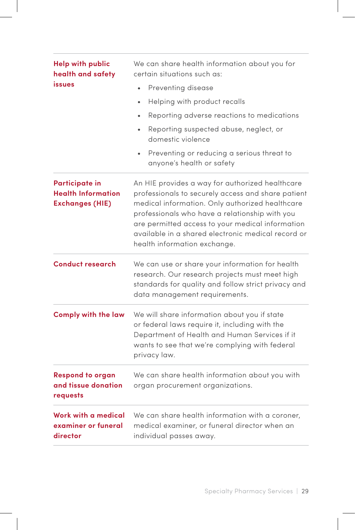| <b>Help with public</b><br>health and safety<br>issues                | We can share health information about you for<br>certain situations such as:<br>Preventing disease<br>Helping with product recalls<br>$\bullet$<br>Reporting adverse reactions to medications<br>$\bullet$<br>Reporting suspected abuse, neglect, or<br>domestic violence<br>Preventing or reducing a serious threat to<br>anyone's health or safety |  |  |
|-----------------------------------------------------------------------|------------------------------------------------------------------------------------------------------------------------------------------------------------------------------------------------------------------------------------------------------------------------------------------------------------------------------------------------------|--|--|
| Participate in<br><b>Health Information</b><br><b>Exchanges (HIE)</b> | An HIE provides a way for authorized healthcare<br>professionals to securely access and share patient<br>medical information. Only authorized healthcare<br>professionals who have a relationship with you<br>are permitted access to your medical information<br>available in a shared electronic medical record or<br>health information exchange. |  |  |
| <b>Conduct research</b>                                               | We can use or share your information for health<br>research. Our research projects must meet high<br>standards for quality and follow strict privacy and<br>data management requirements.                                                                                                                                                            |  |  |
| <b>Comply with the law</b>                                            | We will share information about you if state<br>or federal laws require it, including with the<br>Department of Health and Human Services if it<br>wants to see that we're complying with federal<br>privacy law.                                                                                                                                    |  |  |
| <b>Respond to organ</b><br>and tissue donation<br>requests            | We can share health information about you with<br>organ procurement organizations.                                                                                                                                                                                                                                                                   |  |  |
| Work with a medical<br>examiner or funeral<br>director                | We can share health information with a coroner,<br>medical examiner, or funeral director when an<br>individual passes away.                                                                                                                                                                                                                          |  |  |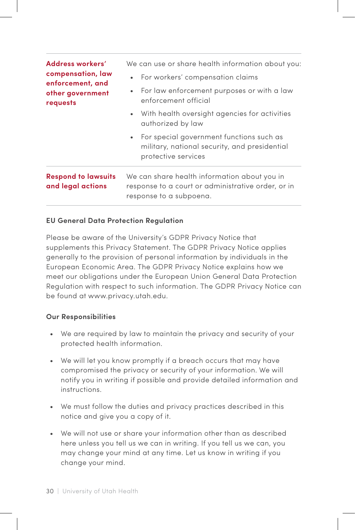| <b>Respond to lawsuits</b><br>and legal actions                       | We can share health information about you in<br>response to a court or administrative order, or in<br>response to a subpoena. |  |  |  |
|-----------------------------------------------------------------------|-------------------------------------------------------------------------------------------------------------------------------|--|--|--|
|                                                                       | • For special government functions such as<br>military, national security, and presidential<br>protective services            |  |  |  |
| compensation, law<br>enforcement, and<br>other government<br>requests | • With health oversight agencies for activities<br>authorized by law                                                          |  |  |  |
|                                                                       | For law enforcement purposes or with a law<br>enforcement official                                                            |  |  |  |
|                                                                       | • For workers' compensation claims                                                                                            |  |  |  |
| Address workers'                                                      | We can use or share health information about you:                                                                             |  |  |  |

#### **EU General Data Protection Regulation**

Please be aware of the University's GDPR Privacy Notice that supplements this Privacy Statement. The GDPR Privacy Notice applies generally to the provision of personal information by individuals in the European Economic Area. The GDPR Privacy Notice explains how we meet our obligations under the European Union General Data Protection Regulation with respect to such information. The GDPR Privacy Notice can be found at www.privacy.utah.edu.

#### **Our Responsibilities**

- We are required by law to maintain the privacy and security of your protected health information.
- We will let you know promptly if a breach occurs that may have compromised the privacy or security of your information. We will notify you in writing if possible and provide detailed information and instructions.
- We must follow the duties and privacy practices described in this notice and give you a copy of it.
- We will not use or share your information other than as described here unless you tell us we can in writing. If you tell us we can, you may change your mind at any time. Let us know in writing if you change your mind.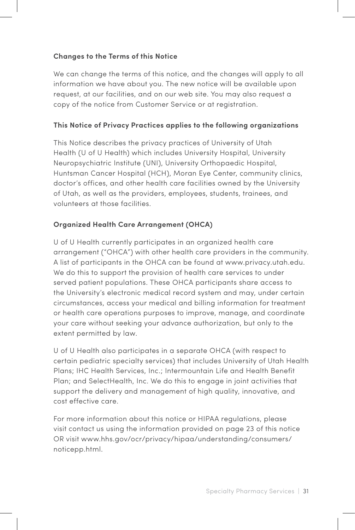#### **Changes to the Terms of this Notice**

We can change the terms of this notice, and the changes will apply to all information we have about you. The new notice will be available upon request, at our facilities, and on our web site. You may also request a copy of the notice from Customer Service or at registration.

#### **This Notice of Privacy Practices applies to the following organizations**

This Notice describes the privacy practices of University of Utah Health (U of U Health) which includes University Hospital, University Neuropsychiatric Institute (UNI), University Orthopaedic Hospital, Huntsman Cancer Hospital (HCH), Moran Eye Center, community clinics, doctor's offices, and other health care facilities owned by the University of Utah, as well as the providers, employees, students, trainees, and volunteers at those facilities.

#### **Organized Health Care Arrangement (OHCA)**

U of U Health currently participates in an organized health care arrangement ("OHCA") with other health care providers in the community. A list of participants in the OHCA can be found at www.privacy.utah.edu. We do this to support the provision of health care services to under served patient populations. These OHCA participants share access to the University's electronic medical record system and may, under certain circumstances, access your medical and billing information for treatment or health care operations purposes to improve, manage, and coordinate your care without seeking your advance authorization, but only to the extent permitted by law.

U of U Health also participates in a separate OHCA (with respect to certain pediatric specialty services) that includes University of Utah Health Plans; IHC Health Services, Inc.; Intermountain Life and Health Benefit Plan; and SelectHealth, Inc. We do this to engage in joint activities that support the delivery and management of high quality, innovative, and cost effective care.

For more information about this notice or HIPAA regulations, please visit contact us using the information provided on page 23 of this notice OR visit www.hhs.gov/ocr/privacy/hipaa/understanding/consumers/ noticepp.html.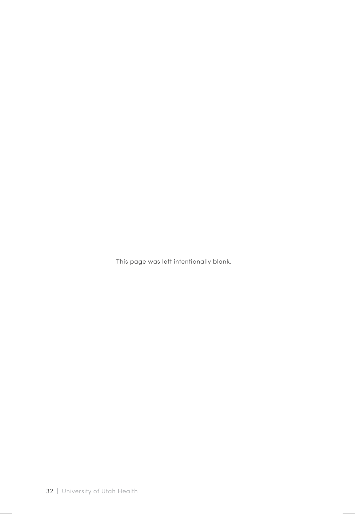This page was left intentionally blank.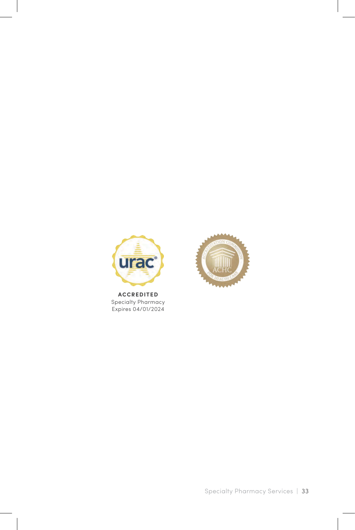



**ACCREDITED** Specialty Pharmacy Expires 04/01/2024